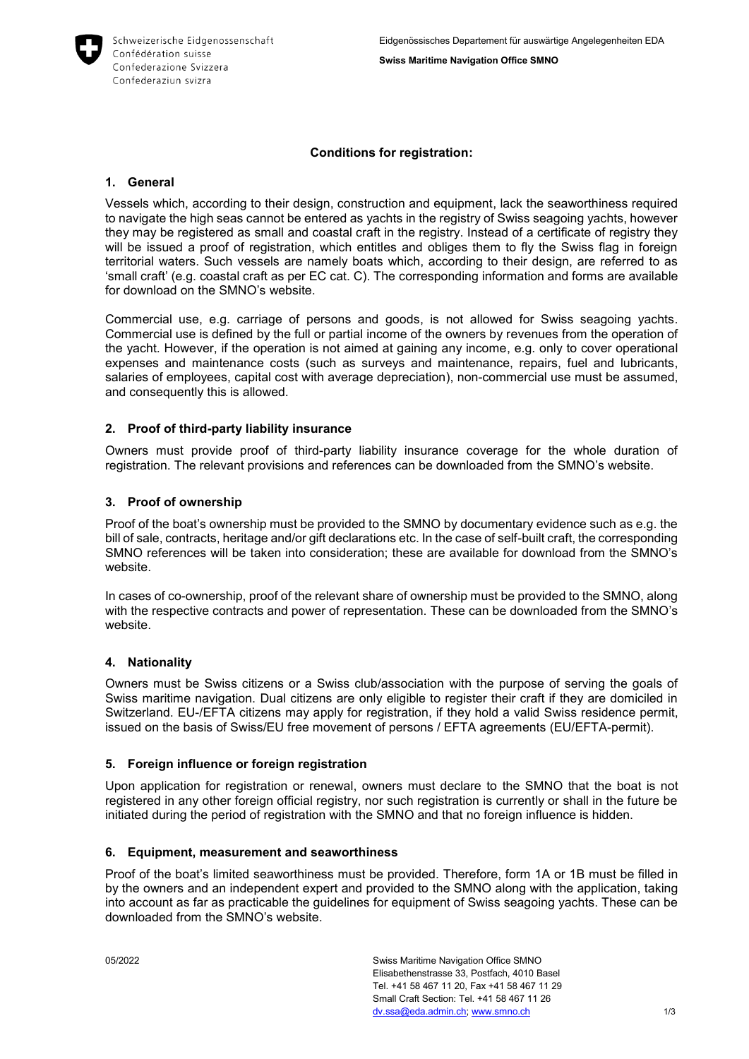

## **Conditions for registration:**

## **1. General**

Vessels which, according to their design, construction and equipment, lack the seaworthiness required to navigate the high seas cannot be entered as yachts in the registry of Swiss seagoing yachts, however they may be registered as small and coastal craft in the registry. Instead of a certificate of registry they will be issued a proof of registration, which entitles and obliges them to fly the Swiss flag in foreign territorial waters. Such vessels are namely boats which, according to their design, are referred to as 'small craft' (e.g. coastal craft as per EC cat. C). The corresponding information and forms are available for download on the SMNO's website.

Commercial use, e.g. carriage of persons and goods, is not allowed for Swiss seagoing yachts. Commercial use is defined by the full or partial income of the owners by revenues from the operation of the yacht. However, if the operation is not aimed at gaining any income, e.g. only to cover operational expenses and maintenance costs (such as surveys and maintenance, repairs, fuel and lubricants, salaries of employees, capital cost with average depreciation), non-commercial use must be assumed, and consequently this is allowed.

# **2. Proof of third-party liability insurance**

Owners must provide proof of third-party liability insurance coverage for the whole duration of registration. The relevant provisions and references can be downloaded from the SMNO's website.

#### **3. Proof of ownership**

Proof of the boat's ownership must be provided to the SMNO by documentary evidence such as e.g. the bill of sale, contracts, heritage and/or gift declarations etc. In the case of self-built craft, the corresponding SMNO references will be taken into consideration; these are available for download from the SMNO's website.

In cases of co-ownership, proof of the relevant share of ownership must be provided to the SMNO, along with the respective contracts and power of representation. These can be downloaded from the SMNO's website.

#### **4. Nationality**

Owners must be Swiss citizens or a Swiss club/association with the purpose of serving the goals of Swiss maritime navigation. Dual citizens are only eligible to register their craft if they are domiciled in Switzerland. EU-/EFTA citizens may apply for registration, if they hold a valid Swiss residence permit, issued on the basis of Swiss/EU free movement of persons / EFTA agreements (EU/EFTA-permit).

#### **5. Foreign influence or foreign registration**

Upon application for registration or renewal, owners must declare to the SMNO that the boat is not registered in any other foreign official registry, nor such registration is currently or shall in the future be initiated during the period of registration with the SMNO and that no foreign influence is hidden.

#### **6. Equipment, measurement and seaworthiness**

Proof of the boat's limited seaworthiness must be provided. Therefore, form 1A or 1B must be filled in by the owners and an independent expert and provided to the SMNO along with the application, taking into account as far as practicable the guidelines for equipment of Swiss seagoing yachts. These can be downloaded from the SMNO's website.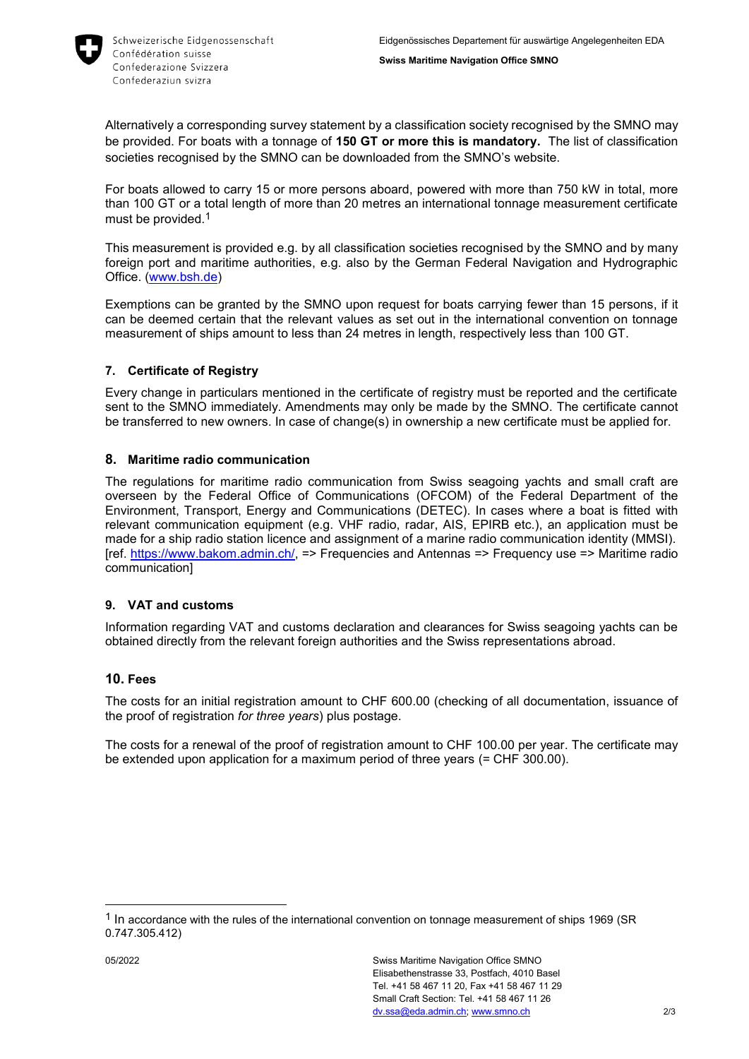

Alternatively a corresponding survey statement by a classification society recognised by the SMNO may be provided. For boats with a tonnage of **150 GT or more this is mandatory.** The list of classification societies recognised by the SMNO can be downloaded from the SMNO's website.

For boats allowed to carry 15 or more persons aboard, powered with more than 750 kW in total, more than 100 GT or a total length of more than 20 metres an international tonnage measurement certificate must be provided. 1

This measurement is provided e.g. by all classification societies recognised by the SMNO and by many foreign port and maritime authorities, e.g. also by the German Federal Navigation and Hydrographic Office. [\(www.bsh.de\)](http://www.bsh.de/)

Exemptions can be granted by the SMNO upon request for boats carrying fewer than 15 persons, if it can be deemed certain that the relevant values as set out in the international convention on tonnage measurement of ships amount to less than 24 metres in length, respectively less than 100 GT.

# **7. Certificate of Registry**

Every change in particulars mentioned in the certificate of registry must be reported and the certificate sent to the SMNO immediately. Amendments may only be made by the SMNO. The certificate cannot be transferred to new owners. In case of change(s) in ownership a new certificate must be applied for.

# **8. Maritime radio communication**

The regulations for maritime radio communication from Swiss seagoing yachts and small craft are overseen by the Federal Office of Communications (OFCOM) of the Federal Department of the Environment, Transport, Energy and Communications (DETEC). In cases where a boat is fitted with relevant communication equipment (e.g. VHF radio, radar, AIS, EPIRB etc.), an application must be made for a ship radio station licence and assignment of a marine radio communication identity (MMSI). [ref. [https://www.bakom.admin.ch/,](https://www.bakom.admin.ch/) => Frequencies and Antennas => Frequency use => Maritime radio communication]

# **9. VAT and customs**

Information regarding VAT and customs declaration and clearances for Swiss seagoing yachts can be obtained directly from the relevant foreign authorities and the Swiss representations abroad.

# **10. Fees**

The costs for an initial registration amount to CHF 600.00 (checking of all documentation, issuance of the proof of registration *for three years*) plus postage.

The costs for a renewal of the proof of registration amount to CHF 100.00 per year. The certificate may be extended upon application for a maximum period of three years (= CHF 300.00).

-

<sup>&</sup>lt;sup>1</sup> In accordance with the rules of the international convention on tonnage measurement of ships 1969 (SR 0.747.305.412)